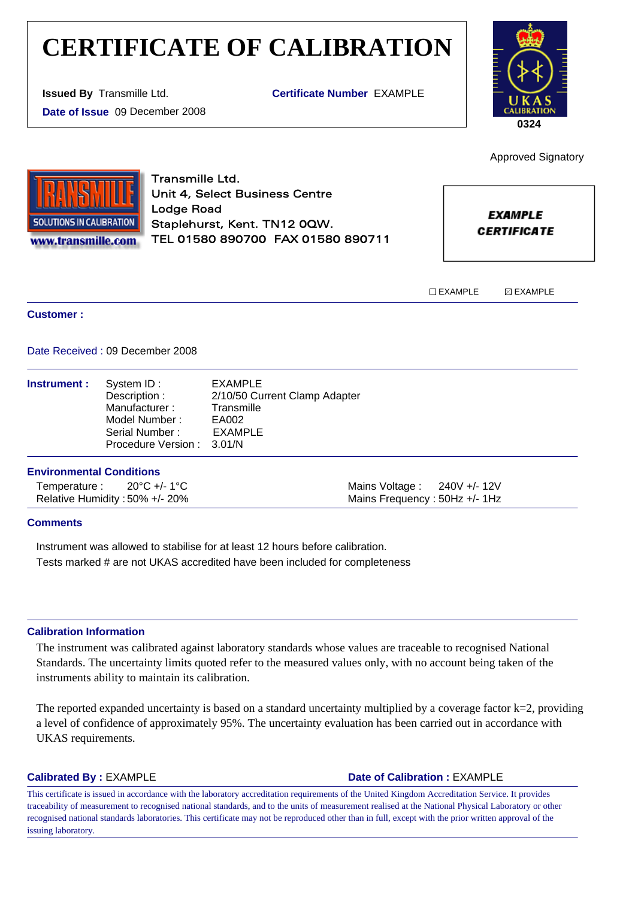# **CERTIFICATE OF CALIBRATION**

**Issued By** Transmille Ltd.

**Date of Issue** 09 December 2008

**Certificate Number** EXAMPLE



**SOLUTIONS IN CALIBRATION** www.transmille.com Transmille Ltd. Unit 4, Select Business Centre Lodge Road Staplehurst, Kent. TN12 0QW. TEL 01580 890700 FAX 01580 890711

**EXAMPLE** 

Approved Signatory

**CERTIFICATE** 

TEXAMPLE **EXAMPLE** 

### **Customer :**

Date Received : 09 December 2008

| <b>Instrument:</b> | System ID:<br>Description :<br>Manufacturer:<br>Model Number:<br>Serial Number:<br>Procedure Version: 3.01/N | EXAMPLE<br>2/10/50 Current Clamp Adapter<br>Transmille<br>EA002<br>EXAMPLE |
|--------------------|--------------------------------------------------------------------------------------------------------------|----------------------------------------------------------------------------|
|                    |                                                                                                              |                                                                            |

# **Environmental Conditions**

Temperature : 20°C +/- 1°C Relative Humidity : 50% +/- 20% Mains Voltage : 240V +/- 12V Mains Frequency : 50Hz +/- 1Hz

# **Comments**

Instrument was allowed to stabilise for at least 12 hours before calibration. Tests marked # are not UKAS accredited have been included for completeness

#### **Calibration Information**

The instrument was calibrated against laboratory standards whose values are traceable to recognised National Standards. The uncertainty limits quoted refer to the measured values only, with no account being taken of the instruments ability to maintain its calibration.

The reported expanded uncertainty is based on a standard uncertainty multiplied by a coverage factor  $k=2$ , providing a level of confidence of approximately 95%. The uncertainty evaluation has been carried out in accordance with UKAS requirements.

# **Calibrated By : EXAMPLE Date of Calibration : EXAMPLE**

This certificate is issued in accordance with the laboratory accreditation requirements of the United Kingdom Accreditation Service. It provides traceability of measurement to recognised national standards, and to the units of measurement realised at the National Physical Laboratory or other recognised national standards laboratories. This certificate may not be reproduced other than in full, except with the prior written approval of the issuing laboratory.